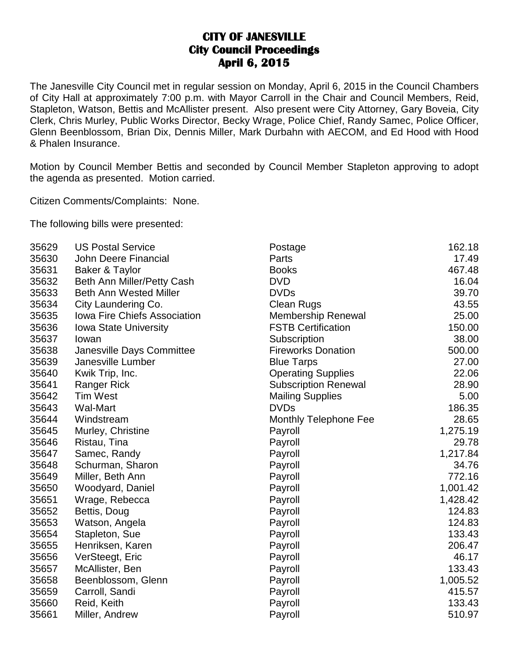## **CITY OF JANESVILLE City Council Proceedings April 6, 2015**

The Janesville City Council met in regular session on Monday, April 6, 2015 in the Council Chambers of City Hall at approximately 7:00 p.m. with Mayor Carroll in the Chair and Council Members, Reid, Stapleton, Watson, Bettis and McAllister present. Also present were City Attorney, Gary Boveia, City Clerk, Chris Murley, Public Works Director, Becky Wrage, Police Chief, Randy Samec, Police Officer, Glenn Beenblossom, Brian Dix, Dennis Miller, Mark Durbahn with AECOM, and Ed Hood with Hood & Phalen Insurance.

Motion by Council Member Bettis and seconded by Council Member Stapleton approving to adopt the agenda as presented. Motion carried.

Citizen Comments/Complaints: None.

The following bills were presented:

| 35629 | <b>US Postal Service</b>            | Postage                     | 162.18   |
|-------|-------------------------------------|-----------------------------|----------|
| 35630 | <b>John Deere Financial</b>         | Parts                       | 17.49    |
| 35631 | Baker & Taylor                      | <b>Books</b>                | 467.48   |
| 35632 | Beth Ann Miller/Petty Cash          | <b>DVD</b>                  | 16.04    |
| 35633 | <b>Beth Ann Wested Miller</b>       | <b>DVDs</b>                 | 39.70    |
| 35634 | City Laundering Co.                 | <b>Clean Rugs</b>           | 43.55    |
| 35635 | <b>Iowa Fire Chiefs Association</b> | <b>Membership Renewal</b>   | 25.00    |
| 35636 | <b>Iowa State University</b>        | <b>FSTB Certification</b>   | 150.00   |
| 35637 | lowan                               | Subscription                | 38.00    |
| 35638 | Janesville Days Committee           | <b>Fireworks Donation</b>   | 500.00   |
| 35639 | Janesville Lumber                   | <b>Blue Tarps</b>           | 27.00    |
| 35640 | Kwik Trip, Inc.                     | <b>Operating Supplies</b>   | 22.06    |
| 35641 | Ranger Rick                         | <b>Subscription Renewal</b> | 28.90    |
| 35642 | <b>Tim West</b>                     | <b>Mailing Supplies</b>     | 5.00     |
| 35643 | <b>Wal-Mart</b>                     | <b>DVDs</b>                 | 186.35   |
| 35644 | Windstream                          | Monthly Telephone Fee       | 28.65    |
| 35645 | Murley, Christine                   | Payroll                     | 1,275.19 |
| 35646 | Ristau, Tina                        | Payroll                     | 29.78    |
| 35647 | Samec, Randy                        | Payroll                     | 1,217.84 |
| 35648 | Schurman, Sharon                    | Payroll                     | 34.76    |
| 35649 | Miller, Beth Ann                    | Payroll                     | 772.16   |
| 35650 | Woodyard, Daniel                    | Payroll                     | 1,001.42 |
| 35651 | Wrage, Rebecca                      | Payroll                     | 1,428.42 |
| 35652 | Bettis, Doug                        | Payroll                     | 124.83   |
| 35653 | Watson, Angela                      | Payroll                     | 124.83   |
| 35654 | Stapleton, Sue                      | Payroll                     | 133.43   |
| 35655 | Henriksen, Karen                    | Payroll                     | 206.47   |
| 35656 | VerSteegt, Eric                     | Payroll                     | 46.17    |
| 35657 | McAllister, Ben                     | Payroll                     | 133.43   |
| 35658 | Beenblossom, Glenn                  | Payroll                     | 1,005.52 |
| 35659 | Carroll, Sandi                      | Payroll                     | 415.57   |
| 35660 | Reid, Keith                         | Payroll                     | 133.43   |
| 35661 | Miller, Andrew                      | Payroll                     | 510.97   |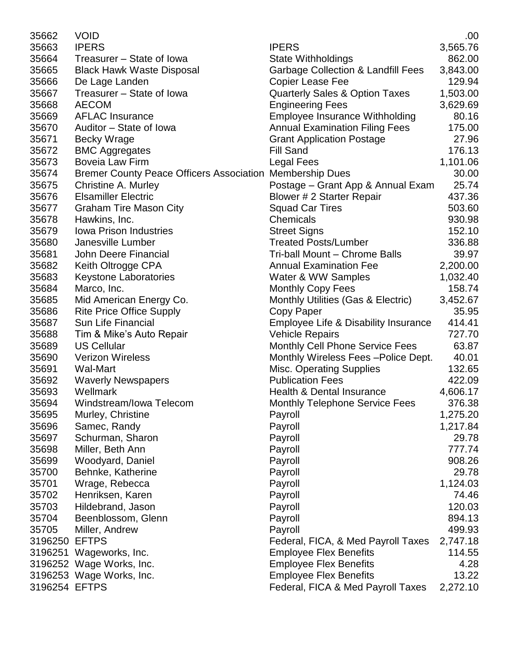| 35662         | <b>VOID</b>                                     |                                               | .00      |
|---------------|-------------------------------------------------|-----------------------------------------------|----------|
| 35663         | <b>IPERS</b>                                    | <b>IPERS</b>                                  | 3,565.76 |
| 35664         | Treasurer - State of Iowa                       | <b>State Withholdings</b>                     | 862.00   |
| 35665         | <b>Black Hawk Waste Disposal</b>                | <b>Garbage Collection &amp; Landfill Fees</b> | 3,843.00 |
| 35666         | De Lage Landen                                  | <b>Copier Lease Fee</b>                       | 129.94   |
| 35667         | Treasurer - State of Iowa                       | <b>Quarterly Sales &amp; Option Taxes</b>     | 1,503.00 |
| 35668         | <b>AECOM</b>                                    | <b>Engineering Fees</b>                       | 3,629.69 |
| 35669         | <b>AFLAC Insurance</b>                          | <b>Employee Insurance Withholding</b>         | 80.16    |
| 35670         | Auditor - State of Iowa                         | <b>Annual Examination Filing Fees</b>         | 175.00   |
| 35671         | <b>Becky Wrage</b>                              | <b>Grant Application Postage</b>              | 27.96    |
| 35672         | <b>BMC Aggregates</b>                           | <b>Fill Sand</b>                              | 176.13   |
| 35673         | <b>Boveia Law Firm</b>                          | Legal Fees                                    | 1,101.06 |
| 35674         | <b>Bremer County Peace Officers Association</b> | <b>Membership Dues</b>                        | 30.00    |
| 35675         | <b>Christine A. Murley</b>                      | Postage - Grant App & Annual Exam             | 25.74    |
| 35676         | <b>Elsamiller Electric</b>                      | Blower # 2 Starter Repair                     | 437.36   |
| 35677         | <b>Graham Tire Mason City</b>                   | <b>Squad Car Tires</b>                        | 503.60   |
| 35678         | Hawkins, Inc.                                   | Chemicals                                     | 930.98   |
| 35679         | <b>Iowa Prison Industries</b>                   | <b>Street Signs</b>                           | 152.10   |
| 35680         | Janesville Lumber                               | <b>Treated Posts/Lumber</b>                   | 336.88   |
| 35681         | <b>John Deere Financial</b>                     | Tri-ball Mount - Chrome Balls                 | 39.97    |
| 35682         | Keith Oltrogge CPA                              | <b>Annual Examination Fee</b>                 | 2,200.00 |
| 35683         | <b>Keystone Laboratories</b>                    | Water & WW Samples                            | 1,032.40 |
| 35684         | Marco, Inc.                                     | <b>Monthly Copy Fees</b>                      | 158.74   |
| 35685         | Mid American Energy Co.                         | Monthly Utilities (Gas & Electric)            | 3,452.67 |
| 35686         | <b>Rite Price Office Supply</b>                 | Copy Paper                                    | 35.95    |
| 35687         | Sun Life Financial                              | Employee Life & Disability Insurance          | 414.41   |
| 35688         | Tim & Mike's Auto Repair                        | <b>Vehicle Repairs</b>                        | 727.70   |
| 35689         | <b>US Cellular</b>                              | Monthly Cell Phone Service Fees               | 63.87    |
| 35690         | <b>Verizon Wireless</b>                         | Monthly Wireless Fees - Police Dept.          | 40.01    |
| 35691         | Wal-Mart                                        | <b>Misc. Operating Supplies</b>               | 132.65   |
| 35692         | <b>Waverly Newspapers</b>                       | <b>Publication Fees</b>                       | 422.09   |
| 35693         | Wellmark                                        | Health & Dental Insurance                     | 4,606.17 |
| 35694         | Windstream/Iowa Telecom                         | <b>Monthly Telephone Service Fees</b>         | 376.38   |
| 35695         | Murley, Christine                               | Payroll                                       | 1,275.20 |
| 35696         | Samec, Randy                                    | Payroll                                       | 1,217.84 |
| 35697         | Schurman, Sharon                                | Payroll                                       | 29.78    |
| 35698         | Miller, Beth Ann                                | Payroll                                       | 777.74   |
| 35699         | Woodyard, Daniel                                | Payroll                                       | 908.26   |
| 35700         | Behnke, Katherine                               | Payroll                                       | 29.78    |
| 35701         | Wrage, Rebecca                                  | Payroll                                       | 1,124.03 |
| 35702         | Henriksen, Karen                                | Payroll                                       | 74.46    |
| 35703         | Hildebrand, Jason                               | Payroll                                       | 120.03   |
| 35704         | Beenblossom, Glenn                              | Payroll                                       | 894.13   |
| 35705         | Miller, Andrew                                  | Payroll                                       | 499.93   |
| 3196250       | <b>EFTPS</b>                                    | Federal, FICA, & Med Payroll Taxes            | 2,747.18 |
|               | 3196251 Wageworks, Inc.                         | <b>Employee Flex Benefits</b>                 | 114.55   |
|               | 3196252 Wage Works, Inc.                        | <b>Employee Flex Benefits</b>                 | 4.28     |
|               | 3196253 Wage Works, Inc.                        | <b>Employee Flex Benefits</b>                 | 13.22    |
| 3196254 EFTPS |                                                 | Federal, FICA & Med Payroll Taxes             | 2,272.10 |
|               |                                                 |                                               |          |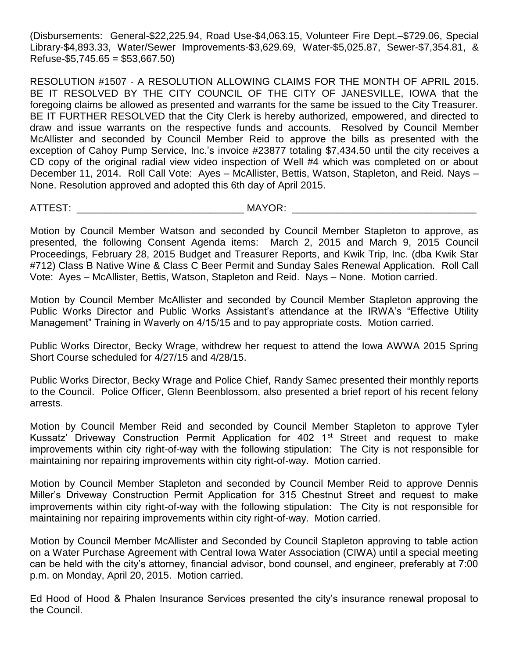(Disbursements: General-\$22,225.94, Road Use-\$4,063.15, Volunteer Fire Dept.–\$729.06, Special Library-\$4,893.33, Water/Sewer Improvements-\$3,629.69, Water-\$5,025.87, Sewer-\$7,354.81, &  $Refuse-$ \$5,745.65 = \$53,667.50)

RESOLUTION #1507 - A RESOLUTION ALLOWING CLAIMS FOR THE MONTH OF APRIL 2015. BE IT RESOLVED BY THE CITY COUNCIL OF THE CITY OF JANESVILLE, IOWA that the foregoing claims be allowed as presented and warrants for the same be issued to the City Treasurer. BE IT FURTHER RESOLVED that the City Clerk is hereby authorized, empowered, and directed to draw and issue warrants on the respective funds and accounts. Resolved by Council Member McAllister and seconded by Council Member Reid to approve the bills as presented with the exception of Cahoy Pump Service, Inc.'s invoice #23877 totaling \$7,434.50 until the city receives a CD copy of the original radial view video inspection of Well #4 which was completed on or about December 11, 2014. Roll Call Vote: Ayes – McAllister, Bettis, Watson, Stapleton, and Reid. Nays – None. Resolution approved and adopted this 6th day of April 2015.

ATTEST: \_\_\_\_\_\_\_\_\_\_\_\_\_\_\_\_\_\_\_\_\_\_\_\_\_\_\_\_\_\_ MAYOR: \_\_\_\_\_\_\_\_\_\_\_\_\_\_\_\_\_\_\_\_\_\_\_\_\_\_\_\_\_\_\_\_\_

Motion by Council Member Watson and seconded by Council Member Stapleton to approve, as presented, the following Consent Agenda items: March 2, 2015 and March 9, 2015 Council Proceedings, February 28, 2015 Budget and Treasurer Reports, and Kwik Trip, Inc. (dba Kwik Star #712) Class B Native Wine & Class C Beer Permit and Sunday Sales Renewal Application. Roll Call Vote: Ayes – McAllister, Bettis, Watson, Stapleton and Reid. Nays – None. Motion carried.

Motion by Council Member McAllister and seconded by Council Member Stapleton approving the Public Works Director and Public Works Assistant's attendance at the IRWA's "Effective Utility Management" Training in Waverly on 4/15/15 and to pay appropriate costs. Motion carried.

Public Works Director, Becky Wrage, withdrew her request to attend the Iowa AWWA 2015 Spring Short Course scheduled for 4/27/15 and 4/28/15.

Public Works Director, Becky Wrage and Police Chief, Randy Samec presented their monthly reports to the Council. Police Officer, Glenn Beenblossom, also presented a brief report of his recent felony arrests.

Motion by Council Member Reid and seconded by Council Member Stapleton to approve Tyler Kussatz' Driveway Construction Permit Application for 402  $1<sup>st</sup>$  Street and request to make improvements within city right-of-way with the following stipulation: The City is not responsible for maintaining nor repairing improvements within city right-of-way. Motion carried.

Motion by Council Member Stapleton and seconded by Council Member Reid to approve Dennis Miller's Driveway Construction Permit Application for 315 Chestnut Street and request to make improvements within city right-of-way with the following stipulation: The City is not responsible for maintaining nor repairing improvements within city right-of-way. Motion carried.

Motion by Council Member McAllister and Seconded by Council Stapleton approving to table action on a Water Purchase Agreement with Central Iowa Water Association (CIWA) until a special meeting can be held with the city's attorney, financial advisor, bond counsel, and engineer, preferably at 7:00 p.m. on Monday, April 20, 2015. Motion carried.

Ed Hood of Hood & Phalen Insurance Services presented the city's insurance renewal proposal to the Council.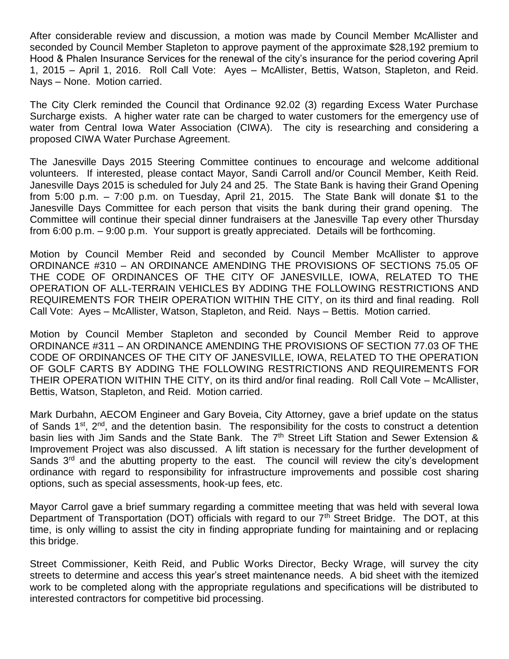After considerable review and discussion, a motion was made by Council Member McAllister and seconded by Council Member Stapleton to approve payment of the approximate \$28,192 premium to Hood & Phalen Insurance Services for the renewal of the city's insurance for the period covering April 1, 2015 – April 1, 2016. Roll Call Vote: Ayes – McAllister, Bettis, Watson, Stapleton, and Reid. Nays – None. Motion carried.

The City Clerk reminded the Council that Ordinance 92.02 (3) regarding Excess Water Purchase Surcharge exists. A higher water rate can be charged to water customers for the emergency use of water from Central lowa Water Association (CIWA). The city is researching and considering a proposed CIWA Water Purchase Agreement.

The Janesville Days 2015 Steering Committee continues to encourage and welcome additional volunteers. If interested, please contact Mayor, Sandi Carroll and/or Council Member, Keith Reid. Janesville Days 2015 is scheduled for July 24 and 25. The State Bank is having their Grand Opening from 5:00 p.m. – 7:00 p.m. on Tuesday, April 21, 2015. The State Bank will donate \$1 to the Janesville Days Committee for each person that visits the bank during their grand opening. The Committee will continue their special dinner fundraisers at the Janesville Tap every other Thursday from 6:00 p.m. – 9:00 p.m. Your support is greatly appreciated. Details will be forthcoming.

Motion by Council Member Reid and seconded by Council Member McAllister to approve ORDINANCE #310 – AN ORDINANCE AMENDING THE PROVISIONS OF SECTIONS 75.05 OF THE CODE OF ORDINANCES OF THE CITY OF JANESVILLE, IOWA, RELATED TO THE OPERATION OF ALL-TERRAIN VEHICLES BY ADDING THE FOLLOWING RESTRICTIONS AND REQUIREMENTS FOR THEIR OPERATION WITHIN THE CITY, on its third and final reading. Roll Call Vote: Ayes – McAllister, Watson, Stapleton, and Reid. Nays – Bettis. Motion carried.

Motion by Council Member Stapleton and seconded by Council Member Reid to approve ORDINANCE #311 – AN ORDINANCE AMENDING THE PROVISIONS OF SECTION 77.03 OF THE CODE OF ORDINANCES OF THE CITY OF JANESVILLE, IOWA, RELATED TO THE OPERATION OF GOLF CARTS BY ADDING THE FOLLOWING RESTRICTIONS AND REQUIREMENTS FOR THEIR OPERATION WITHIN THE CITY, on its third and/or final reading. Roll Call Vote – McAllister, Bettis, Watson, Stapleton, and Reid. Motion carried.

Mark Durbahn, AECOM Engineer and Gary Boveia, City Attorney, gave a brief update on the status of Sands 1<sup>st</sup>, 2<sup>nd</sup>, and the detention basin. The responsibility for the costs to construct a detention basin lies with Jim Sands and the State Bank. The 7<sup>th</sup> Street Lift Station and Sewer Extension & Improvement Project was also discussed. A lift station is necessary for the further development of Sands  $3<sup>rd</sup>$  and the abutting property to the east. The council will review the city's development ordinance with regard to responsibility for infrastructure improvements and possible cost sharing options, such as special assessments, hook-up fees, etc.

Mayor Carrol gave a brief summary regarding a committee meeting that was held with several Iowa Department of Transportation (DOT) officials with regard to our 7<sup>th</sup> Street Bridge. The DOT, at this time, is only willing to assist the city in finding appropriate funding for maintaining and or replacing this bridge.

Street Commissioner, Keith Reid, and Public Works Director, Becky Wrage, will survey the city streets to determine and access this year's street maintenance needs. A bid sheet with the itemized work to be completed along with the appropriate regulations and specifications will be distributed to interested contractors for competitive bid processing.